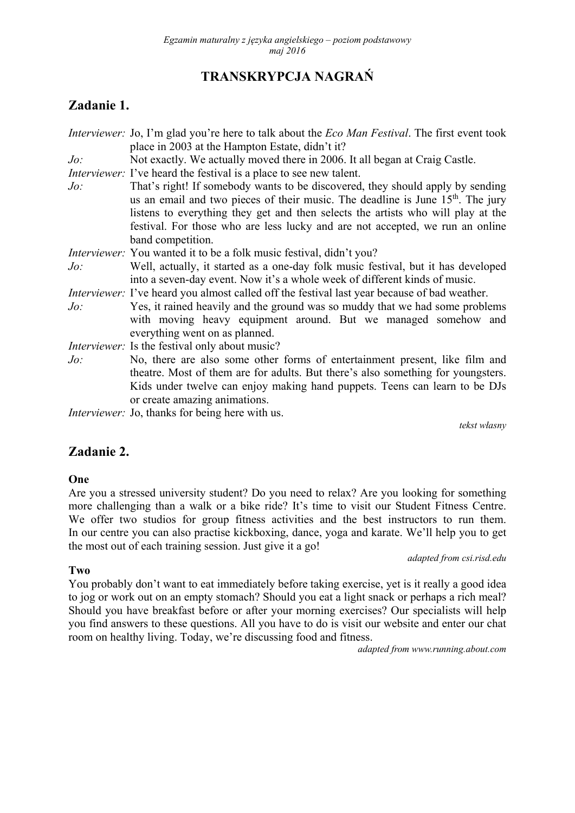# **TRANSKRYPCJA NAGRAŃ**

# **Zadanie 1.**

| That's right! If somebody wants to be discovered, they should apply by sending<br>us an email and two pieces of their music. The deadline is June 15 <sup>th</sup> . The jury |
|-------------------------------------------------------------------------------------------------------------------------------------------------------------------------------|
| listens to everything they get and then selects the artists who will play at the                                                                                              |
| festival. For those who are less lucky and are not accepted, we run an online                                                                                                 |
|                                                                                                                                                                               |
|                                                                                                                                                                               |
| Well, actually, it started as a one-day folk music festival, but it has developed                                                                                             |
|                                                                                                                                                                               |
| <i>Interviewer</i> : I've heard you almost called off the festival last year because of bad weather.                                                                          |
| Yes, it rained heavily and the ground was so muddy that we had some problems<br>with moving heavy equipment around. But we managed somehow and                                |
|                                                                                                                                                                               |
| No, there are also some other forms of entertainment present, like film and                                                                                                   |
| theatre. Most of them are for adults. But there's also something for youngsters.                                                                                              |
| Kids under twelve can enjoy making hand puppets. Teens can learn to be DJs                                                                                                    |
|                                                                                                                                                                               |
|                                                                                                                                                                               |
|                                                                                                                                                                               |

*tekst własny* 

# **Zadanie 2.**

#### **One**

Are you a stressed university student? Do you need to relax? Are you looking for something more challenging than a walk or a bike ride? It's time to visit our Student Fitness Centre. We offer two studios for group fitness activities and the best instructors to run them. In our centre you can also practise kickboxing, dance, yoga and karate. We'll help you to get the most out of each training session. Just give it a go!

*adapted from csi.risd.edu* 

#### **Two**

You probably don't want to eat immediately before taking exercise, yet is it really a good idea to jog or work out on an empty stomach? Should you eat a light snack or perhaps a rich meal? Should you have breakfast before or after your morning exercises? Our specialists will help you find answers to these questions. All you have to do is visit our website and enter our chat room on healthy living. Today, we're discussing food and fitness.

*adapted from www.running.about.com*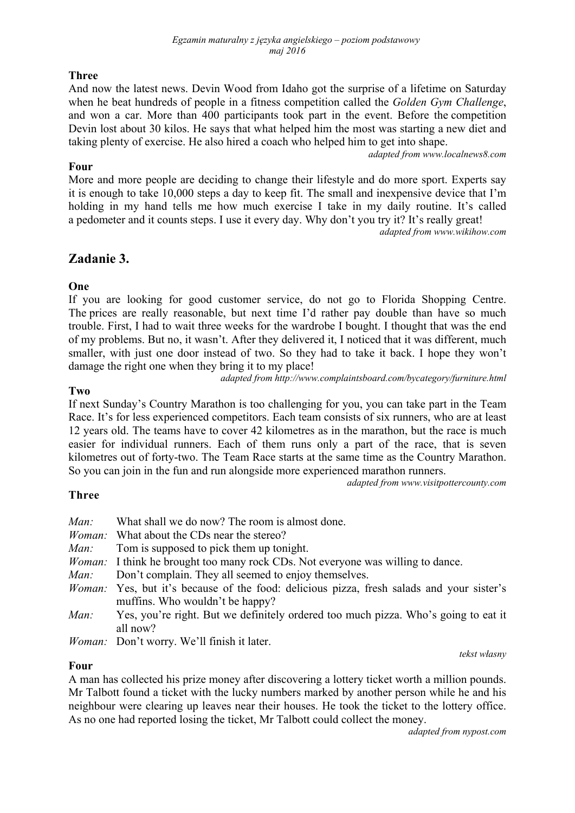## **Three**

And now the latest news. Devin Wood from Idaho got the surprise of a lifetime on Saturday when he beat hundreds of people in a fitness competition called the *Golden Gym Challenge*, and won a car. More than 400 participants took part in the event. Before the competition Devin lost about 30 kilos. He says that what helped him the most was starting a new diet and taking plenty of exercise. He also hired a coach who helped him to get into shape.

### **Four**

*adapted from www.localnews8.com* 

More and more people are deciding to change their lifestyle and do more sport. Experts say it is enough to take 10,000 steps a day to keep fit. The small and inexpensive device that I'm holding in my hand tells me how much exercise I take in my daily routine. It's called a pedometer and it counts steps. I use it every day. Why don't you try it? It's really great!

*adapted from www.wikihow.com* 

# **Zadanie 3.**

## **One**

If you are looking for good customer service, do not go to Florida Shopping Centre. The prices are really reasonable, but next time I'd rather pay double than have so much trouble. First, I had to wait three weeks for the wardrobe I bought. I thought that was the end of my problems. But no, it wasn't. After they delivered it, I noticed that it was different, much smaller, with just one door instead of two. So they had to take it back. I hope they won't damage the right one when they bring it to my place!

*adapted from http://www.complaintsboard.com/bycategory/furniture.html* 

### **Two**

If next Sunday's Country Marathon is too challenging for you, you can take part in the Team Race. It's for less experienced competitors. Each team consists of six runners, who are at least 12 years old. The teams have to cover 42 kilometres as in the marathon, but the race is much easier for individual runners. Each of them runs only a part of the race, that is seven kilometres out of forty-two. The Team Race starts at the same time as the Country Marathon.

So you can join in the fun and run alongside more experienced marathon runners. *adapted from www.visitpottercounty.com*

## **Three**

| Man: | What shall we do now? The room is almost done.                                                                                      |
|------|-------------------------------------------------------------------------------------------------------------------------------------|
|      | <i>Woman:</i> What about the CDs near the stereo?                                                                                   |
| Man: | Tom is supposed to pick them up tonight.                                                                                            |
|      | <i>Woman</i> : I think he brought too many rock CDs. Not everyone was willing to dance.                                             |
| Man: | Don't complain. They all seemed to enjoy themselves.                                                                                |
|      | <i>Woman:</i> Yes, but it's because of the food: delicious pizza, fresh salads and your sister's<br>muffins. Who wouldn't be happy? |
| Man: | Yes, you're right. But we definitely ordered too much pizza. Who's going to eat it<br>all now?                                      |
|      | <i>Woman:</i> Don't worry. We'll finish it later.                                                                                   |

#### **Four**

*tekst własny* 

A man has collected his prize money after discovering a lottery ticket worth a million pounds. Mr Talbott found a ticket with the lucky numbers marked by another person while he and his neighbour were clearing up leaves near their houses. He took the ticket to the lottery office. As no one had reported losing the ticket, Mr Talbott could collect the money.